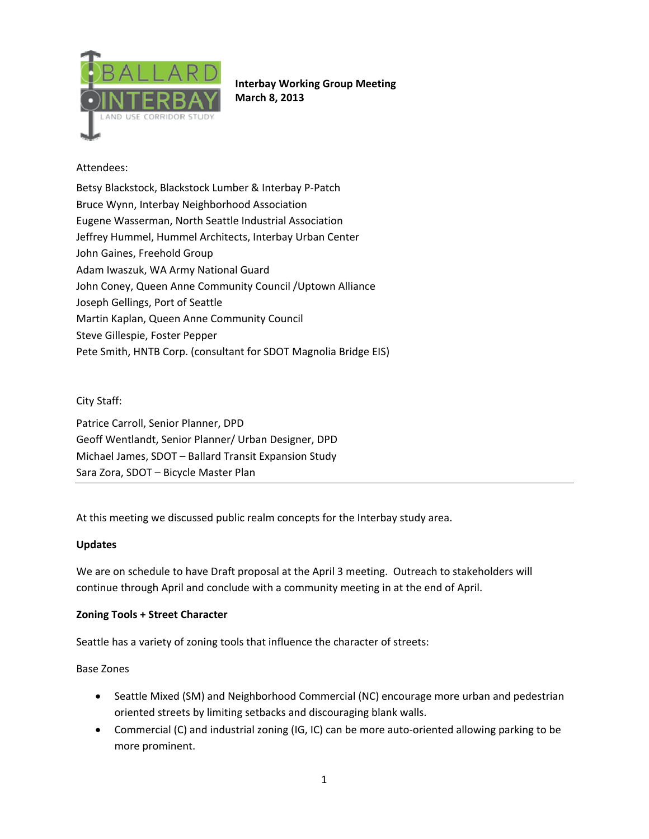

**Interbay Working Group Meeting March 8, 2013**

## Attendees:

Betsy Blackstock, Blackstock Lumber & Interbay P‐Patch Bruce Wynn, Interbay Neighborhood Association Eugene Wasserman, North Seattle Industrial Association Jeffrey Hummel, Hummel Architects, Interbay Urban Center John Gaines, Freehold Group Adam Iwaszuk, WA Army National Guard John Coney, Queen Anne Community Council /Uptown Alliance Joseph Gellings, Port of Seattle Martin Kaplan, Queen Anne Community Council Steve Gillespie, Foster Pepper Pete Smith, HNTB Corp. (consultant for SDOT Magnolia Bridge EIS)

#### City Staff:

Patrice Carroll, Senior Planner, DPD Geoff Wentlandt, Senior Planner/ Urban Designer, DPD Michael James, SDOT – Ballard Transit Expansion Study Sara Zora, SDOT – Bicycle Master Plan

At this meeting we discussed public realm concepts for the Interbay study area.

#### **Updates**

We are on schedule to have Draft proposal at the April 3 meeting. Outreach to stakeholders will continue through April and conclude with a community meeting in at the end of April.

#### **Zoning Tools + Street Character**

Seattle has a variety of zoning tools that influence the character of streets:

Base Zones

- Seattle Mixed (SM) and Neighborhood Commercial (NC) encourage more urban and pedestrian oriented streets by limiting setbacks and discouraging blank walls.
- Commercial (C) and industrial zoning (IG, IC) can be more auto-oriented allowing parking to be more prominent.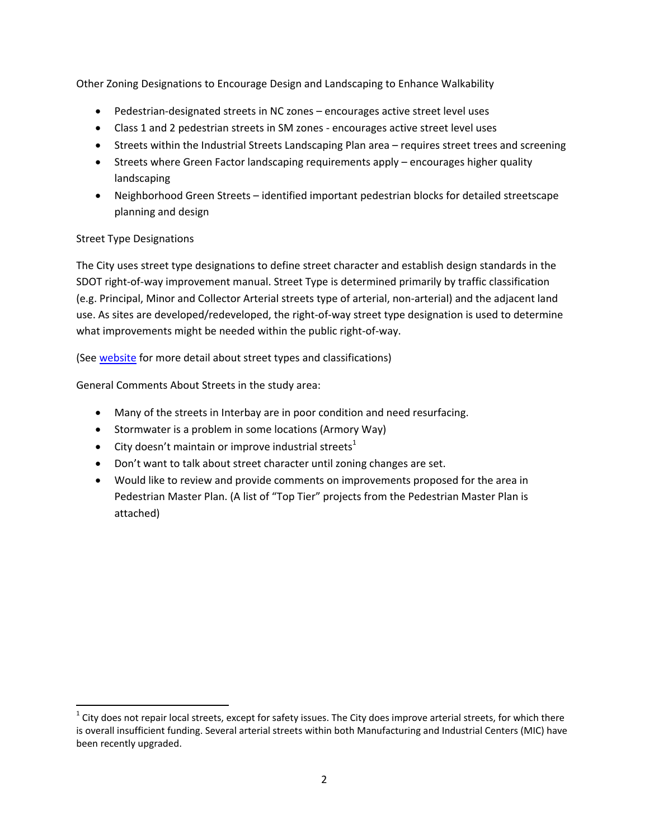Other Zoning Designations to Encourage Design and Landscaping to Enhance Walkability

- Pedestrian‐designated streets in NC zones encourages active street level uses
- Class 1 and 2 pedestrian streets in SM zones encourages active street level uses
- Streets within the Industrial Streets Landscaping Plan area requires street trees and screening
- Streets where Green Factor landscaping requirements apply encourages higher quality landscaping
- Neighborhood Green Streets identified important pedestrian blocks for detailed streetscape planning and design

# Street Type Designations

The City uses street type designations to define street character and establish design standards in the SDOT right‐of‐way improvement manual. Street Type is determined primarily by traffic classification (e.g. Principal, Minor and Collector Arterial streets type of arterial, non‐arterial) and the adjacent land use. As sites are developed/redeveloped, the right‐of‐way street type designation is used to determine what improvements might be needed within the public right‐of‐way.

(See website for more detail about street types and classifications)

General Comments About Streets in the study area:

- Many of the streets in Interbay are in poor condition and need resurfacing.
- Stormwater is a problem in some locations (Armory Way)
- City doesn't maintain or improve industrial streets<sup>1</sup>
- Don't want to talk about street character until zoning changes are set.
- Would like to review and provide comments on improvements proposed for the area in Pedestrian Master Plan. (A list of "Top Tier" projects from the Pedestrian Master Plan is attached)

 $1$  City does not repair local streets, except for safety issues. The City does improve arterial streets, for which there is overall insufficient funding. Several arterial streets within both Manufacturing and Industrial Centers (MIC) have been recently upgraded.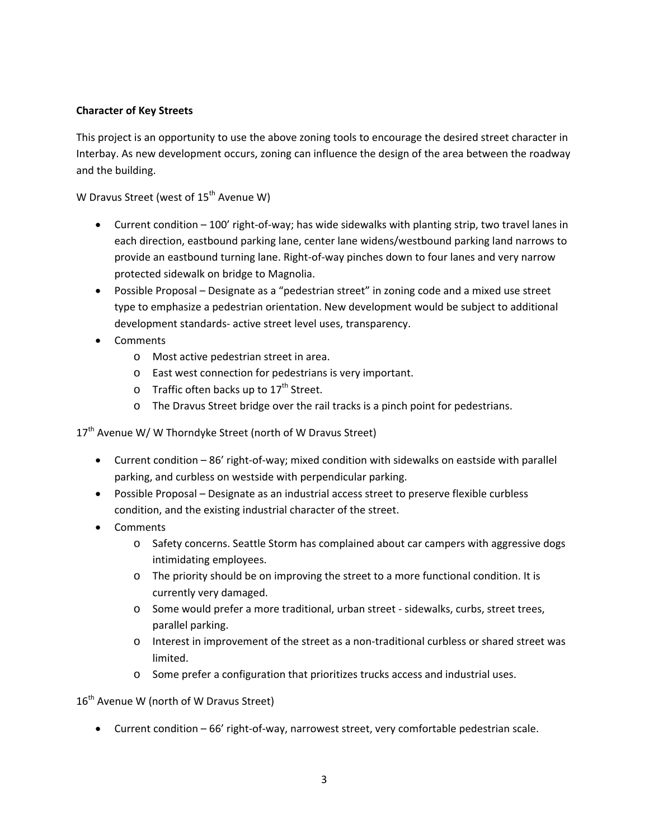### **Character of Key Streets**

This project is an opportunity to use the above zoning tools to encourage the desired street character in Interbay. As new development occurs, zoning can influence the design of the area between the roadway and the building.

W Dravus Street (west of  $15<sup>th</sup>$  Avenue W)

- Current condition 100' right‐of‐way; has wide sidewalks with planting strip, two travel lanes in each direction, eastbound parking lane, center lane widens/westbound parking land narrows to provide an eastbound turning lane. Right‐of‐way pinches down to four lanes and very narrow protected sidewalk on bridge to Magnolia.
- Possible Proposal Designate as a "pedestrian street" in zoning code and a mixed use street type to emphasize a pedestrian orientation. New development would be subject to additional development standards‐ active street level uses, transparency.
- Comments
	- o Most active pedestrian street in area.
	- o East west connection for pedestrians is very important.
	- $\circ$  Traffic often backs up to 17<sup>th</sup> Street.
	- o The Dravus Street bridge over the rail tracks is a pinch point for pedestrians.

17<sup>th</sup> Avenue W/ W Thorndyke Street (north of W Dravus Street)

- Current condition 86' right‐of‐way; mixed condition with sidewalks on eastside with parallel parking, and curbless on westside with perpendicular parking.
- Possible Proposal Designate as an industrial access street to preserve flexible curbless condition, and the existing industrial character of the street.
- Comments
	- o Safety concerns. Seattle Storm has complained about car campers with aggressive dogs intimidating employees.
	- o The priority should be on improving the street to a more functional condition. It is currently very damaged.
	- o Some would prefer a more traditional, urban street ‐ sidewalks, curbs, street trees, parallel parking.
	- o Interest in improvement of the street as a non‐traditional curbless or shared street was limited.
	- o Some prefer a configuration that prioritizes trucks access and industrial uses.

16<sup>th</sup> Avenue W (north of W Dravus Street)

• Current condition – 66' right-of-way, narrowest street, very comfortable pedestrian scale.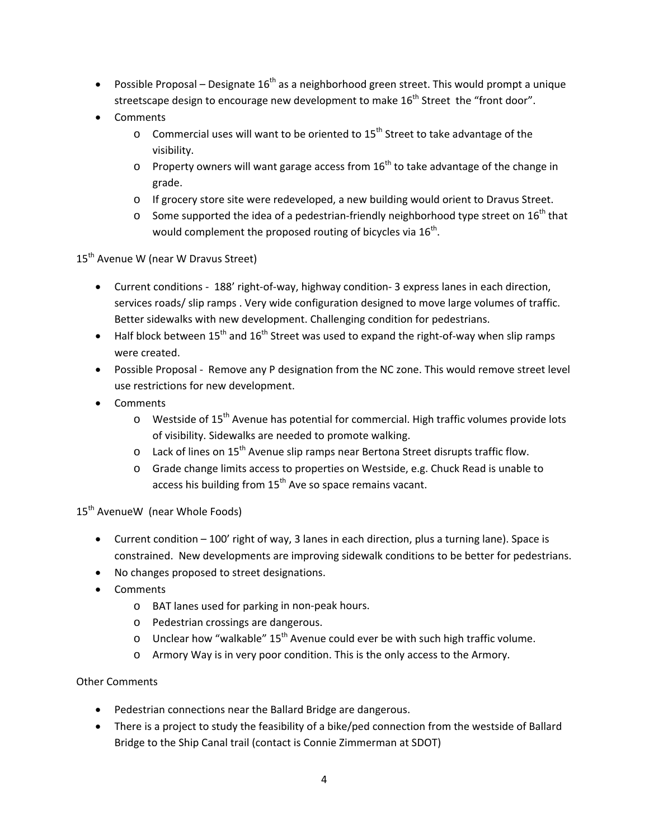- Possible Proposal Designate  $16^{th}$  as a neighborhood green street. This would prompt a unique streetscape design to encourage new development to make  $16<sup>th</sup>$  Street the "front door".
- Comments
	- $\circ$  Commercial uses will want to be oriented to 15<sup>th</sup> Street to take advantage of the visibility.
	- $\circ$  Property owners will want garage access from 16<sup>th</sup> to take advantage of the change in grade.
	- o If grocery store site were redeveloped, a new building would orient to Dravus Street.
	- o Some supported the idea of a pedestrian-friendly neighborhood type street on  $16^{th}$  that would complement the proposed routing of bicycles via  $16<sup>th</sup>$ .

15<sup>th</sup> Avenue W (near W Dravus Street)

- Current conditions 188' right-of-way, highway condition- 3 express lanes in each direction, services roads/ slip ramps . Very wide configuration designed to move large volumes of traffic. Better sidewalks with new development. Challenging condition for pedestrians.
- Half block between 15<sup>th</sup> and 16<sup>th</sup> Street was used to expand the right-of-way when slip ramps were created.
- Possible Proposal Remove any P designation from the NC zone. This would remove street level use restrictions for new development.
- Comments
	- $\circ$  Westside of 15<sup>th</sup> Avenue has potential for commercial. High traffic volumes provide lots of visibility. Sidewalks are needed to promote walking.
	- $\circ$  Lack of lines on 15<sup>th</sup> Avenue slip ramps near Bertona Street disrupts traffic flow.
	- o Grade change limits access to properties on Westside, e.g. Chuck Read is unable to access his building from  $15<sup>th</sup>$  Ave so space remains vacant.

15<sup>th</sup> AvenueW (near Whole Foods)

- Current condition 100' right of way, 3 lanes in each direction, plus a turning lane). Space is constrained. New developments are improving sidewalk conditions to be better for pedestrians.
- No changes proposed to street designations.
- Comments
	- o BAT lanes used for parking in non‐peak hours.
	- o Pedestrian crossings are dangerous.
	- o Unclear how "walkable"  $15<sup>th</sup>$  Avenue could ever be with such high traffic volume.
	- o Armory Way is in very poor condition. This is the only access to the Armory.

## Other Comments

- Pedestrian connections near the Ballard Bridge are dangerous.
- There is a project to study the feasibility of a bike/ped connection from the westside of Ballard Bridge to the Ship Canal trail (contact is Connie Zimmerman at SDOT)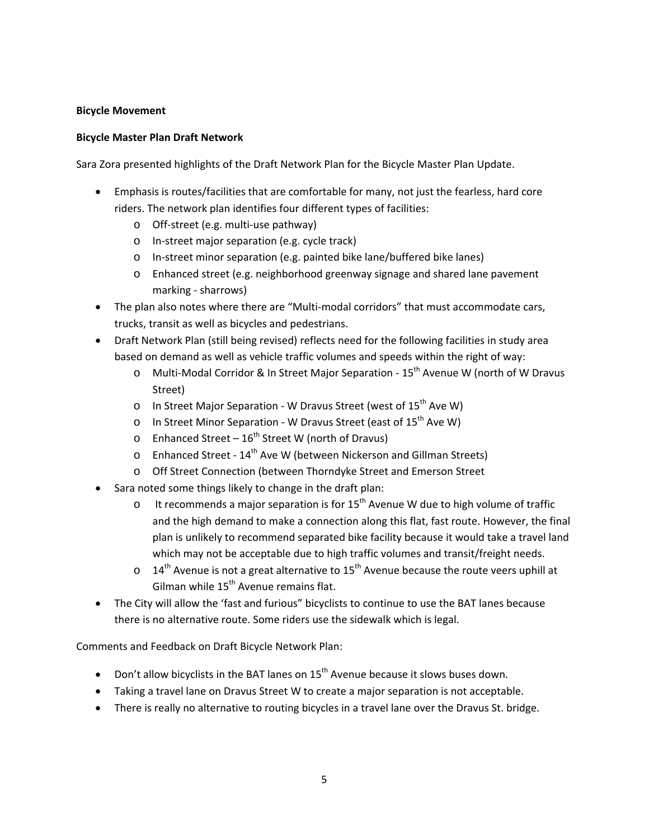#### **Bicycle Movement**

### **Bicycle Master Plan Draft Network**

Sara Zora presented highlights of the Draft Network Plan for the Bicycle Master Plan Update.

- Emphasis is routes/facilities that are comfortable for many, not just the fearless, hard core riders. The network plan identifies four different types of facilities:
	- o Off‐street (e.g. multi‐use pathway)
	- o In‐street major separation (e.g. cycle track)
	- o In‐street minor separation (e.g. painted bike lane/buffered bike lanes)
	- o Enhanced street (e.g. neighborhood greenway signage and shared lane pavement marking ‐ sharrows)
- The plan also notes where there are "Multi‐modal corridors" that must accommodate cars, trucks, transit as well as bicycles and pedestrians.
- Draft Network Plan (still being revised) reflects need for the following facilities in study area based on demand as well as vehicle traffic volumes and speeds within the right of way:
	- o Multi‐Modal Corridor & In Street Major Separation ‐ 15th Avenue W (north of W Dravus Street)
	- o In Street Major Separation W Dravus Street (west of 15<sup>th</sup> Ave W)
	- o In Street Minor Separation W Dravus Street (east of  $15<sup>th</sup>$  Ave W)
	- o Enhanced Street  $16^{th}$  Street W (north of Dravus)
	- o Enhanced Street ‐ 14th Ave W (between Nickerson and Gillman Streets)
	- o Off Street Connection (between Thorndyke Street and Emerson Street
- Sara noted some things likely to change in the draft plan:
	- o It recommends a major separation is for  $15<sup>th</sup>$  Avenue W due to high volume of traffic and the high demand to make a connection along this flat, fast route. However, the final plan is unlikely to recommend separated bike facility because it would take a travel land which may not be acceptable due to high traffic volumes and transit/freight needs.
	- $\circ$  14<sup>th</sup> Avenue is not a great alternative to 15<sup>th</sup> Avenue because the route veers uphill at Gilman while 15<sup>th</sup> Avenue remains flat.
- The City will allow the 'fast and furious" bicyclists to continue to use the BAT lanes because there is no alternative route. Some riders use the sidewalk which is legal.

Comments and Feedback on Draft Bicycle Network Plan:

- Don't allow bicyclists in the BAT lanes on  $15^{th}$  Avenue because it slows buses down.
- Taking a travel lane on Dravus Street W to create a major separation is not acceptable.
- There is really no alternative to routing bicycles in a travel lane over the Dravus St. bridge.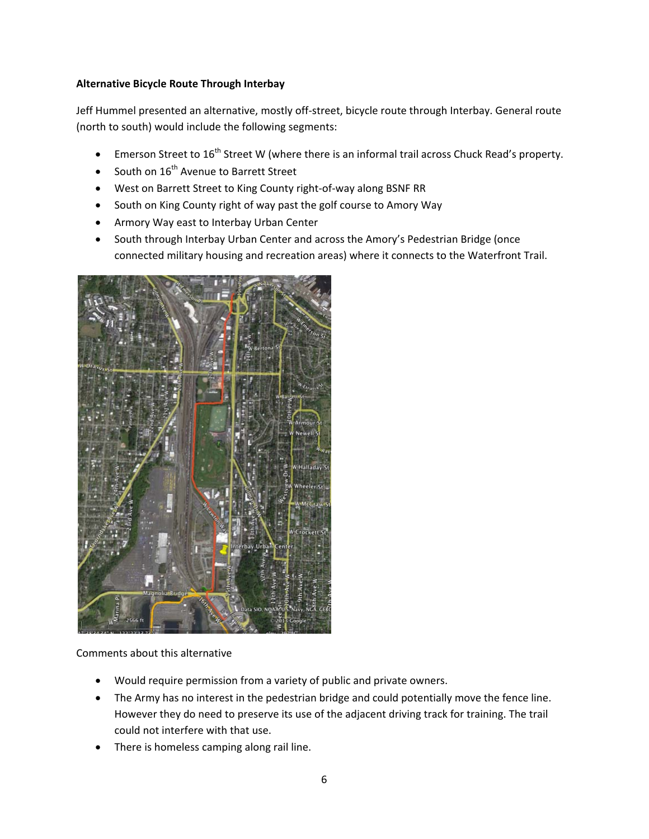### **Alternative Bicycle Route Through Interbay**

Jeff Hummel presented an alternative, mostly off-street, bicycle route through Interbay. General route (north to south) would include the following segments:

- Emerson Street to 16<sup>th</sup> Street W (where there is an informal trail across Chuck Read's property.
- South on 16<sup>th</sup> Avenue to Barrett Street
- West on Barrett Street to King County right‐of‐way along BSNF RR
- South on King County right of way past the golf course to Amory Way
- Armory Way east to Interbay Urban Center
- South through Interbay Urban Center and across the Amory's Pedestrian Bridge (once connected military housing and recreation areas) where it connects to the Waterfront Trail.



Comments about this alternative

- Would require permission from a variety of public and private owners.
- The Army has no interest in the pedestrian bridge and could potentially move the fence line. However they do need to preserve its use of the adjacent driving track for training. The trail could not interfere with that use.
- There is homeless camping along rail line.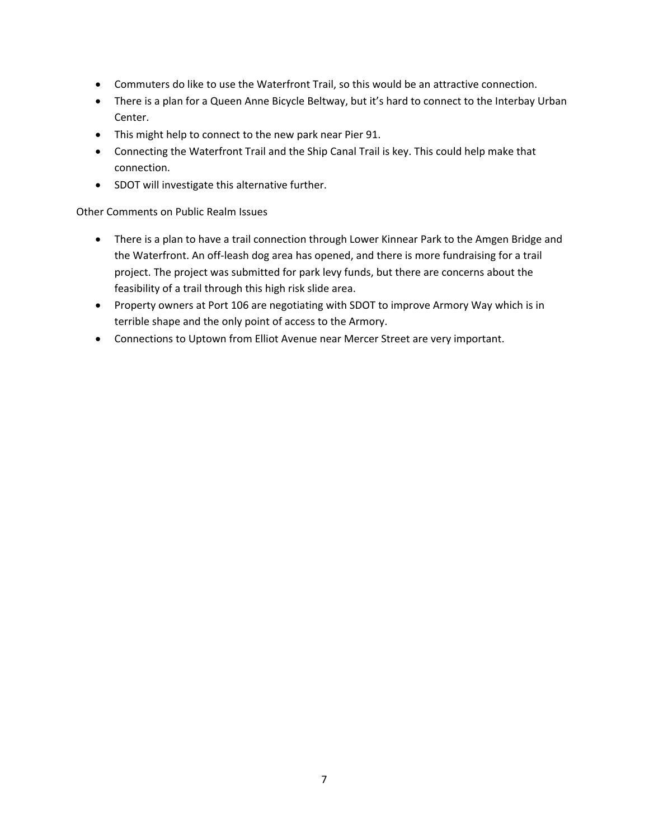- Commuters do like to use the Waterfront Trail, so this would be an attractive connection.
- There is a plan for a Queen Anne Bicycle Beltway, but it's hard to connect to the Interbay Urban Center.
- This might help to connect to the new park near Pier 91.
- Connecting the Waterfront Trail and the Ship Canal Trail is key. This could help make that connection.
- SDOT will investigate this alternative further.

### Other Comments on Public Realm Issues

- There is a plan to have a trail connection through Lower Kinnear Park to the Amgen Bridge and the Waterfront. An off‐leash dog area has opened, and there is more fundraising for a trail project. The project was submitted for park levy funds, but there are concerns about the feasibility of a trail through this high risk slide area.
- Property owners at Port 106 are negotiating with SDOT to improve Armory Way which is in terrible shape and the only point of access to the Armory.
- Connections to Uptown from Elliot Avenue near Mercer Street are very important.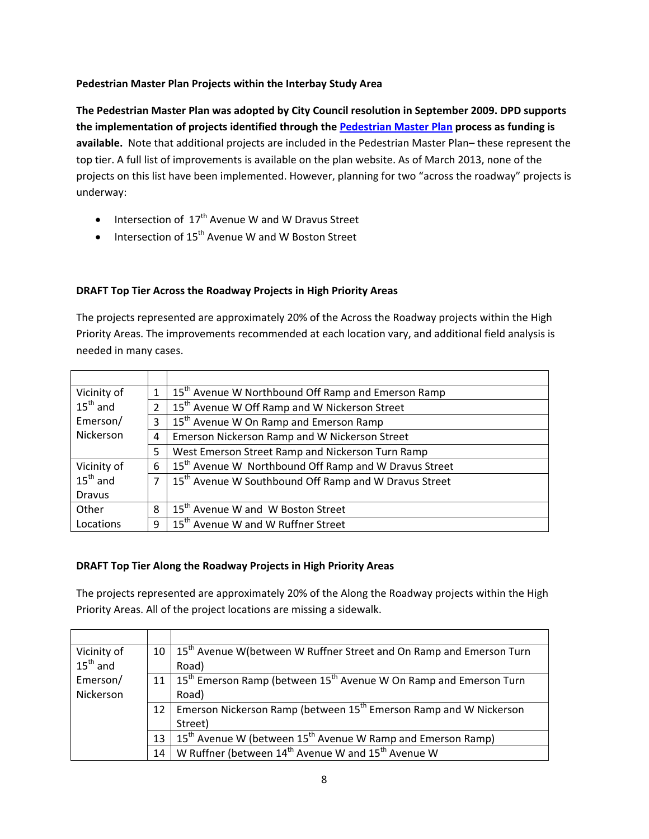## **Pedestrian Master Plan Projects within the Interbay Study Area**

**The Pedestrian Master Plan was adopted by City Council resolution in September 2009. DPD supports the implementation of projects identified through the Pedestrian Master Plan process as funding is available.** Note that additional projects are included in the Pedestrian Master Plan– these represent the top tier. A full list of improvements is available on the plan website. As of March 2013, none of the projects on this list have been implemented. However, planning for two "across the roadway" projects is underway:

- Intersection of  $17<sup>th</sup>$  Avenue W and W Dravus Street
- Intersection of  $15^{th}$  Avenue W and W Boston Street

## **DRAFT Top Tier Across the Roadway Projects in High Priority Areas**

The projects represented are approximately 20% of the Across the Roadway projects within the High Priority Areas. The improvements recommended at each location vary, and additional field analysis is needed in many cases.

| Vicinity of          | 1              | 15 <sup>th</sup> Avenue W Northbound Off Ramp and Emerson Ramp    |
|----------------------|----------------|-------------------------------------------------------------------|
| $15^{\text{th}}$ and | $\overline{2}$ | 15 <sup>th</sup> Avenue W Off Ramp and W Nickerson Street         |
| Emerson/             | 3              | 15 <sup>th</sup> Avenue W On Ramp and Emerson Ramp                |
| Nickerson            | 4              | Emerson Nickerson Ramp and W Nickerson Street                     |
|                      | 5              | West Emerson Street Ramp and Nickerson Turn Ramp                  |
| Vicinity of          | 6              | 15 <sup>th</sup> Avenue W Northbound Off Ramp and W Dravus Street |
| $15^{th}$ and        | 7 I            | 15 <sup>th</sup> Avenue W Southbound Off Ramp and W Dravus Street |
| <b>Dravus</b>        |                |                                                                   |
| Other                | 8              | 15 <sup>th</sup> Avenue W and W Boston Street                     |
| Locations            | q              | 15 <sup>th</sup> Avenue W and W Ruffner Street                    |

## **DRAFT Top Tier Along the Roadway Projects in High Priority Areas**

The projects represented are approximately 20% of the Along the Roadway projects within the High Priority Areas. All of the project locations are missing a sidewalk.

| Vicinity of          | 10 | 15 <sup>th</sup> Avenue W(between W Ruffner Street and On Ramp and Emerson Turn         |
|----------------------|----|-----------------------------------------------------------------------------------------|
| $15^{\text{th}}$ and |    | Road)                                                                                   |
| Emerson/             | 11 | $\mid 15^{th}$ Emerson Ramp (between 15 <sup>th</sup> Avenue W On Ramp and Emerson Turn |
| <b>Nickerson</b>     |    | Road)                                                                                   |
|                      | 12 | Emerson Nickerson Ramp (between 15 <sup>th</sup> Emerson Ramp and W Nickerson           |
|                      |    | Street)                                                                                 |
|                      | 13 | $15th$ Avenue W (between $15th$ Avenue W Ramp and Emerson Ramp)                         |
|                      | 14 | W Ruffner (between 14 <sup>th</sup> Avenue W and 15 <sup>th</sup> Avenue W              |